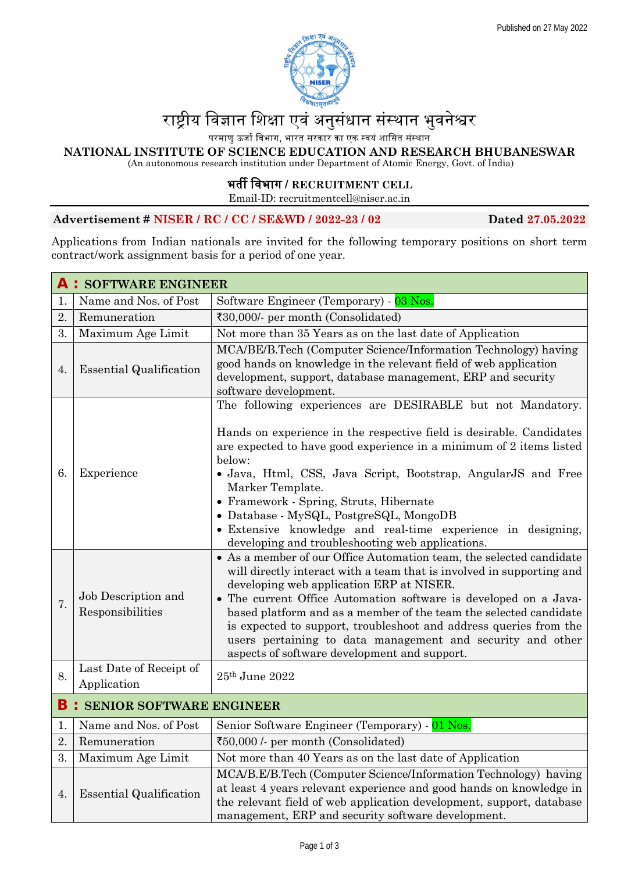

# रा�ीय िवज्ञान िशक्षा एवं अनुसंधान संस्थान भुवने�र

परमाणु ऊर्जा विभाग, भारत सरकार का एक स्वयं शासित संस्थान

**NATIONAL INSTITUTE OF SCIENCE EDUCATION AND RESEARCH BHUBANESWAR**

(An autonomous research institution under Department of Atomic Energy, Govt. of India)

## **<sup>39</sup>**भत� िवभाग **/ RECRUITMENT CELL**

Email-ID: recruitmentcell@niser.ac.in

#### **Advertisement # NISER / RC / CC / SE&WD / 2022-23 / 02 Dated 27.05.2022**

Applications from Indian nationals are invited for the following temporary positions on short term contract/work assignment basis for a period of one year.

| <b>A : SOFTWARE ENGINEER</b>        |                                         |                                                                                                                                                                                                                                                                                                                                                                                                                                                                                                                      |
|-------------------------------------|-----------------------------------------|----------------------------------------------------------------------------------------------------------------------------------------------------------------------------------------------------------------------------------------------------------------------------------------------------------------------------------------------------------------------------------------------------------------------------------------------------------------------------------------------------------------------|
| 1.                                  | Name and Nos. of Post                   | Software Engineer (Temporary) - 03 Nos.                                                                                                                                                                                                                                                                                                                                                                                                                                                                              |
| 2.                                  | Remuneration                            | $\text{\textsterling}30,000/$ - per month (Consolidated)                                                                                                                                                                                                                                                                                                                                                                                                                                                             |
| 3.                                  | Maximum Age Limit                       | Not more than 35 Years as on the last date of Application                                                                                                                                                                                                                                                                                                                                                                                                                                                            |
| 4.                                  | <b>Essential Qualification</b>          | MCA/BE/B.Tech (Computer Science/Information Technology) having<br>good hands on knowledge in the relevant field of web application<br>development, support, database management, ERP and security<br>software development.                                                                                                                                                                                                                                                                                           |
| 6.                                  | Experience                              | The following experiences are DESIRABLE but not Mandatory.<br>Hands on experience in the respective field is desirable. Candidates<br>are expected to have good experience in a minimum of 2 items listed<br>below:<br>• Java, Html, CSS, Java Script, Bootstrap, AngularJS and Free<br>Marker Template.<br>• Framework - Spring, Struts, Hibernate<br>• Database - MySQL, PostgreSQL, MongoDB<br>• Extensive knowledge and real-time experience in designing,<br>developing and troubleshooting web applications.   |
| 7.                                  | Job Description and<br>Responsibilities | • As a member of our Office Automation team, the selected candidate<br>will directly interact with a team that is involved in supporting and<br>developing web application ERP at NISER.<br>• The current Office Automation software is developed on a Java-<br>based platform and as a member of the team the selected candidate<br>is expected to support, troubleshoot and address queries from the<br>users pertaining to data management and security and other<br>aspects of software development and support. |
| 8.                                  | Last Date of Receipt of<br>Application  | $25th$ June $2022$                                                                                                                                                                                                                                                                                                                                                                                                                                                                                                   |
| <b>B</b> : SENIOR SOFTWARE ENGINEER |                                         |                                                                                                                                                                                                                                                                                                                                                                                                                                                                                                                      |
| 1.                                  | Name and Nos. of Post                   | Senior Software Engineer (Temporary) - 01 Nos.                                                                                                                                                                                                                                                                                                                                                                                                                                                                       |
| 2.                                  | Remuneration                            | ₹50,000 /- per month (Consolidated)                                                                                                                                                                                                                                                                                                                                                                                                                                                                                  |
| 3.                                  | Maximum Age Limit                       | Not more than 40 Years as on the last date of Application                                                                                                                                                                                                                                                                                                                                                                                                                                                            |
| 4.                                  | <b>Essential Qualification</b>          | MCA/B.E/B.Tech (Computer Science/Information Technology) having<br>at least 4 years relevant experience and good hands on knowledge in<br>the relevant field of web application development, support, database<br>management, ERP and security software development.                                                                                                                                                                                                                                                 |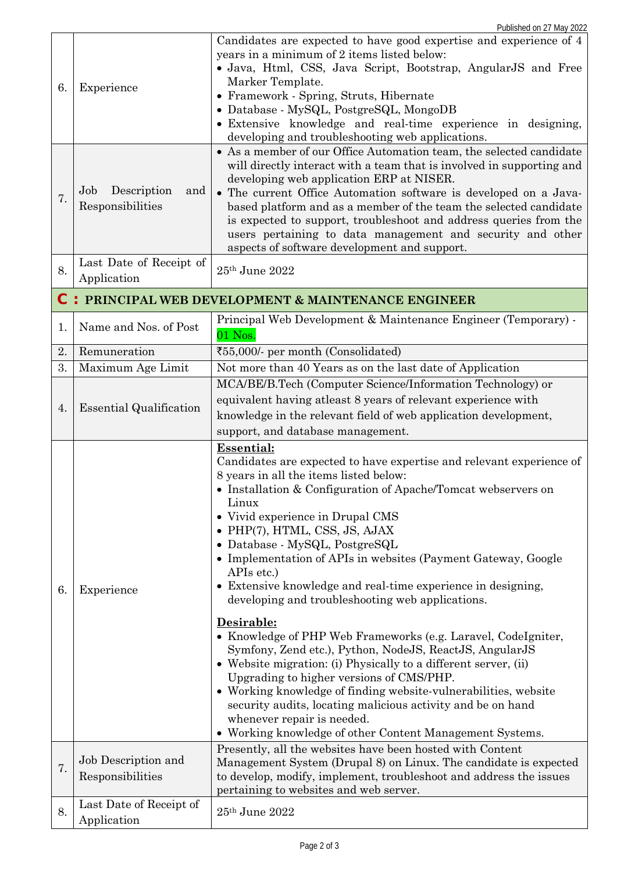| 6.                                                      | Experience                                    | Candidates are expected to have good expertise and experience of 4<br>years in a minimum of 2 items listed below:<br>• Java, Html, CSS, Java Script, Bootstrap, AngularJS and Free<br>Marker Template.<br>• Framework - Spring, Struts, Hibernate<br>• Database - MySQL, PostgreSQL, MongoDB<br>• Extensive knowledge and real-time experience in designing,<br>developing and troubleshooting web applications.                                                                                                                                                                                                                                                                                                                                                                                                                                                                                                                                                                                             |  |
|---------------------------------------------------------|-----------------------------------------------|--------------------------------------------------------------------------------------------------------------------------------------------------------------------------------------------------------------------------------------------------------------------------------------------------------------------------------------------------------------------------------------------------------------------------------------------------------------------------------------------------------------------------------------------------------------------------------------------------------------------------------------------------------------------------------------------------------------------------------------------------------------------------------------------------------------------------------------------------------------------------------------------------------------------------------------------------------------------------------------------------------------|--|
| 7.                                                      | Description<br>Job<br>and<br>Responsibilities | • As a member of our Office Automation team, the selected candidate<br>will directly interact with a team that is involved in supporting and<br>developing web application ERP at NISER.<br>• The current Office Automation software is developed on a Java-<br>based platform and as a member of the team the selected candidate<br>is expected to support, troubleshoot and address queries from the<br>users pertaining to data management and security and other<br>aspects of software development and support.                                                                                                                                                                                                                                                                                                                                                                                                                                                                                         |  |
| 8.                                                      | Last Date of Receipt of<br>Application        | 25th June 2022                                                                                                                                                                                                                                                                                                                                                                                                                                                                                                                                                                                                                                                                                                                                                                                                                                                                                                                                                                                               |  |
| C<br>: PRINCIPAL WEB DEVELOPMENT & MAINTENANCE ENGINEER |                                               |                                                                                                                                                                                                                                                                                                                                                                                                                                                                                                                                                                                                                                                                                                                                                                                                                                                                                                                                                                                                              |  |
| 1.                                                      | Name and Nos. of Post                         | Principal Web Development & Maintenance Engineer (Temporary) -<br>$01$ Nos.                                                                                                                                                                                                                                                                                                                                                                                                                                                                                                                                                                                                                                                                                                                                                                                                                                                                                                                                  |  |
| 2.                                                      | Remuneration                                  | ₹55,000/- per month (Consolidated)                                                                                                                                                                                                                                                                                                                                                                                                                                                                                                                                                                                                                                                                                                                                                                                                                                                                                                                                                                           |  |
| 3.                                                      | Maximum Age Limit                             | Not more than 40 Years as on the last date of Application                                                                                                                                                                                                                                                                                                                                                                                                                                                                                                                                                                                                                                                                                                                                                                                                                                                                                                                                                    |  |
| 4.                                                      | <b>Essential Qualification</b>                | MCA/BE/B.Tech (Computer Science/Information Technology) or<br>equivalent having atleast 8 years of relevant experience with<br>knowledge in the relevant field of web application development,<br>support, and database management.                                                                                                                                                                                                                                                                                                                                                                                                                                                                                                                                                                                                                                                                                                                                                                          |  |
| 6.                                                      | Experience                                    | <b>Essential:</b><br>Candidates are expected to have expertise and relevant experience of<br>8 years in all the items listed below:<br>• Installation & Configuration of Apache/Tomcat webservers on<br>Linux<br>• Vivid experience in Drupal CMS<br>• PHP(7), HTML, CSS, JS, AJAX<br>• Database - MySQL, PostgreSQL<br>• Implementation of APIs in websites (Payment Gateway, Google<br>APIs etc.)<br>• Extensive knowledge and real-time experience in designing,<br>developing and troubleshooting web applications.<br>Desirable:<br>• Knowledge of PHP Web Frameworks (e.g. Laravel, CodeIgniter,<br>Symfony, Zend etc.), Python, NodeJS, ReactJS, AngularJS<br>• Website migration: (i) Physically to a different server, (ii)<br>Upgrading to higher versions of CMS/PHP.<br>• Working knowledge of finding website-vulnerabilities, website<br>security audits, locating malicious activity and be on hand<br>whenever repair is needed.<br>• Working knowledge of other Content Management Systems. |  |
| 7.                                                      | Job Description and<br>Responsibilities       | Presently, all the websites have been hosted with Content<br>Management System (Drupal 8) on Linux. The candidate is expected<br>to develop, modify, implement, troubleshoot and address the issues                                                                                                                                                                                                                                                                                                                                                                                                                                                                                                                                                                                                                                                                                                                                                                                                          |  |
| 8.                                                      | Last Date of Receipt of<br>Application        | pertaining to websites and web server.<br>$25th$ June $2022$                                                                                                                                                                                                                                                                                                                                                                                                                                                                                                                                                                                                                                                                                                                                                                                                                                                                                                                                                 |  |